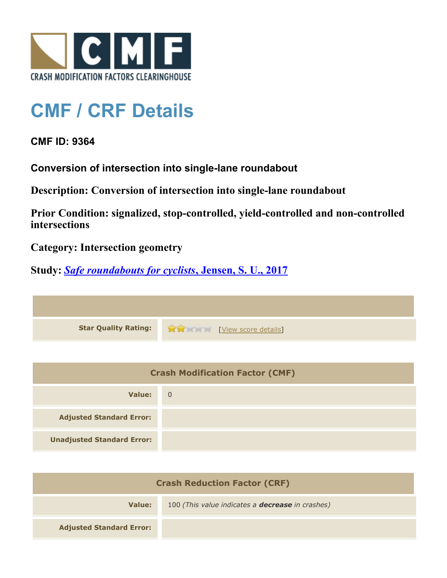

## **CMF / CRF Details**

## **CMF ID: 9364**

**Conversion of intersection into single-lane roundabout**

**Description: Conversion of intersection into single-lane roundabout**

**Prior Condition: signalized, stop-controlled, yield-controlled and non-controlled intersections**

**Category: Intersection geometry**

**Study:** *[Safe roundabouts for cyclists](http://www.cmfclearinghouse.org/study_detail.cfm?stid=516)***[, Jensen, S. U., 2017](http://www.cmfclearinghouse.org/study_detail.cfm?stid=516)**

| Star Quality Rating: 1999 [View score details] |
|------------------------------------------------|

| <b>Crash Modification Factor (CMF)</b> |                |
|----------------------------------------|----------------|
| Value:                                 | $\overline{0}$ |
| <b>Adjusted Standard Error:</b>        |                |
| <b>Unadjusted Standard Error:</b>      |                |

| <b>Crash Reduction Factor (CRF)</b> |                                                         |
|-------------------------------------|---------------------------------------------------------|
| Value:                              | 100 (This value indicates a <b>decrease</b> in crashes) |
| <b>Adjusted Standard Error:</b>     |                                                         |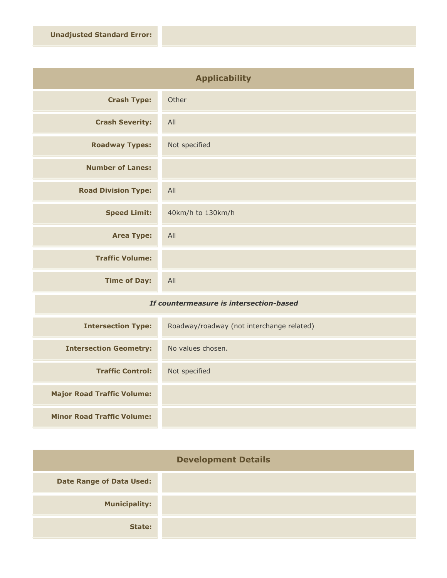| <b>Applicability</b>       |                   |
|----------------------------|-------------------|
| <b>Crash Type:</b>         | Other             |
| <b>Crash Severity:</b>     | All               |
| <b>Roadway Types:</b>      | Not specified     |
| <b>Number of Lanes:</b>    |                   |
| <b>Road Division Type:</b> | All               |
| <b>Speed Limit:</b>        | 40km/h to 130km/h |
| <b>Area Type:</b>          | All               |
| <b>Traffic Volume:</b>     |                   |
| <b>Time of Day:</b>        | All               |

## *If countermeasure is intersection-based*

| <b>Intersection Type:</b>         | Roadway/roadway (not interchange related) |
|-----------------------------------|-------------------------------------------|
| <b>Intersection Geometry:</b>     | No values chosen.                         |
| <b>Traffic Control:</b>           | Not specified                             |
| <b>Major Road Traffic Volume:</b> |                                           |
| <b>Minor Road Traffic Volume:</b> |                                           |

| <b>Development Details</b>      |  |
|---------------------------------|--|
| <b>Date Range of Data Used:</b> |  |
| <b>Municipality:</b>            |  |
| State:                          |  |